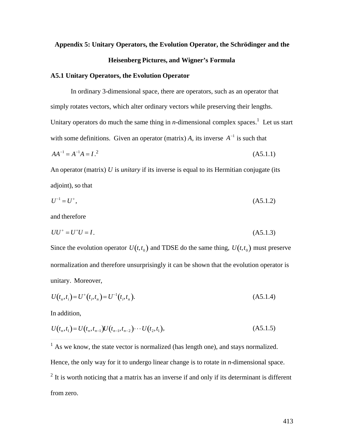# **Appendix 5: Unitary Operators, the Evolution Operator, the Schrödinger and the Heisenberg Pictures, and Wigner's Formula**

#### **A5.1 Unitary Operators, the Evolution Operator**

In ordinary 3-dimensional space, there are operators, such as an operator that simply rotates vectors, which alter ordinary vectors while preserving their lengths. Unitary operators do much the same thing in *n*-dimensional complex spaces.<sup>1</sup> Let us start with some definitions. Given an operator (matrix)  $A$ , its inverse  $A^{-1}$  is such that

$$
AA^{-1} = A^{-1}A = I^{2}.
$$
 (A5.1.1)

 $\frac{1}{2}$ An operator (matrix) *U* is *unitary* if its inverse is equal to its Hermitian conjugate (its adjoint), so that

$$
U^{-1} = U^{+},\tag{A5.1.2}
$$

and therefore

$$
UU^+ = U^+U = I. \tag{A5.1.3}
$$

Since the evolution operator  $U(t,t_0)$  and TDSE do the same thing,  $U(t,t_0)$  must preserve normalization and therefore unsurprisingly it can be shown that the evolution operator is unitary. Moreover,

$$
U(t_n, t_i) = U^+(t_i, t_n) = U^{-1}(t_i, t_n). \tag{A5.1.4}
$$

In addition,

 $\overline{a}$ 

$$
U(t_n, t_1) = U(t_n, t_{n-1})U(t_{n-1}, t_{n-2})\cdots U(t_2, t_1),
$$
\n(A5.1.5)

<sup>1</sup> As we know, the state vector is normalized (has length one), and stays normalized. Hence, the only way for it to undergo linear change is to rotate in *n*-dimensional space.  $2$  It is worth noticing that a matrix has an inverse if and only if its determinant is different from zero.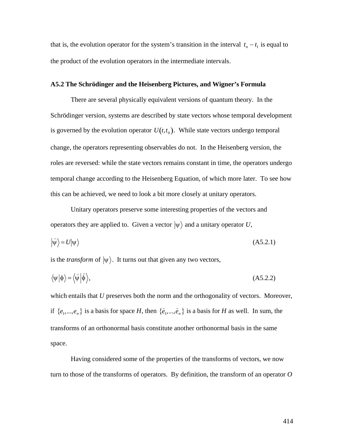that is, the evolution operator for the system's transition in the interval  $t_n - t_1$  is equal to the product of the evolution operators in the intermediate intervals.

#### **A5.2 The Schrödinger and the Heisenberg Pictures, and Wigner's Formula**

There are several physically equivalent versions of quantum theory. In the Schrödinger version, systems are described by state vectors whose temporal development is governed by the evolution operator  $U(t,t_0)$ . While state vectors undergo temporal roles are reversed: while the state vectors remains constant in time, the operators undergo change, the operators representing observables do not. In the Heisenberg version, the temporal change according to the Heisenberg Equation, of which more later. To see how this can be achieved, we need to look a bit more closely at unitary operators.

Unitary operators preserve some interesting properties of the vectors and operators they are applied to. Given a vector  $|\psi\rangle$  and a unitary operator U,

$$
\left|\widehat{\psi}\right\rangle = U|\psi\rangle \tag{A5.2.1}
$$

 $\mathbf{F}^{\text{eff}}$ is the *transform* of  $|\psi\rangle$ . It turns out that given any two vectors,

$$
\langle \psi | \phi \rangle = \langle \hat{\psi} | \hat{\phi} \rangle, \tag{A5.2.2}
$$

which entails that *U* preserves both the norm and the orthogonality of vectors. Moreover, if  $\{e_1, ..., e_n\}$  is a basis for space *H*, then  $\{\hat{e}_1, ..., \hat{e}_n\}$  is a basis for *H* as well. In sum, the transforms of an orthonormal basis constitute another orthonormal basis in the same space.

Having considered some of the properties of the transforms of vectors, we now turn to those of the transforms of operators. By definition, the transform of an operator *O*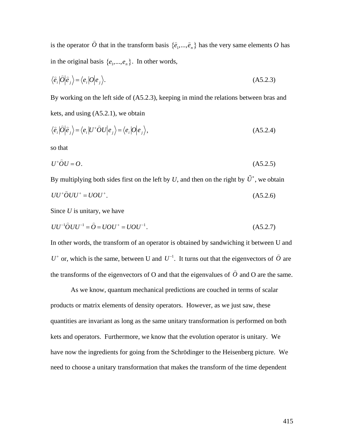is the operator  $\hat{O}$  that in the transform basis  $\{\hat{e}_1, ..., \hat{e}_n\}$  has the very same elements  $O$  has in the original basis  $\{e_1, ..., e_n\}$ . In other words,

$$
\langle \hat{e}_i | \hat{O} | \hat{e}_j \rangle = \langle e_i | O | e_j \rangle. \tag{A5.2.3}
$$

By working on the left side of (A5.2.3), keeping in mind the relations between bras and kets, and using (A5.2.1), we obtain

$$
\langle \hat{e}_i | \hat{O} | \hat{e}_j \rangle = \langle e_i | U^* \hat{O} U | e_j \rangle = \langle e_i | O | e_j \rangle,
$$
\n(A5.2.4)

so that

$$
U^+\hat{O}U=O.\tag{A5.2.5}
$$

By multiplying both sides first on the left by U, and then on the right by  $\tilde{U}^*$ , we obtain  $UU^+ \hat{O} UU^+ = UOU^+.$  $(A5.2.6)$ 

Since *U* is unitary, we have

$$
UU^{-1}\hat{O}UU^{-1} = \hat{O} = UOU^{+} = UOU^{-1}.
$$
 (A5.2.7)

In other words, the transform of an operator is obtained by sandwiching it between U and  $U^+$  or, which is the same, between U and  $U^{-1}$ . It turns out that the eigenvectors of  $\hat{O}$  are the transforms of the eigenvectors of O and that the eigenvalues of  $\hat{O}$  and O are the same.

As we know, quantum mechanical predictions are couched in terms of scalar † products or matrix elements of density operators. However, as we just saw, these quantities are invariant as long as the same unitary transformation is performed on both kets and operators. Furthermore, we know that the evolution operator is unitary. We have now the ingredients for going from the Schrödinger to the Heisenberg picture. We need to choose a unitary transformation that makes the transform of the time dependent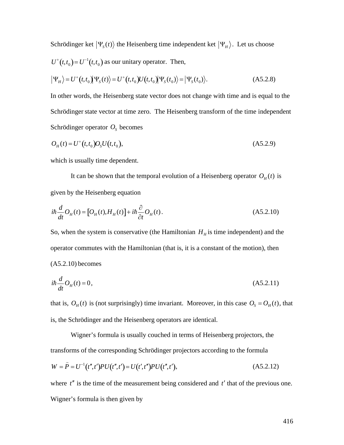Schrödinger ket  $|\Psi_{s}(t)\rangle$  the Heisenberg time independent ket  $|\Psi_{H}\rangle$ . Let us choose  $U^+(t,t_0) = U^{-1}(t,t_0)$  as our unitary operator. Then,

$$
\left|\Psi_{H}\right\rangle = U^{+}(t,t_{0})\left|\Psi_{S}(t)\right\rangle = U^{+}(t,t_{0})U(t,t_{0})\left|\Psi_{S}(t_{0})\right\rangle = \left|\Psi_{S}(t_{0})\right\rangle.
$$
 (A5.2.8)

In other words, the Heisenberg state vector does not change with time and is equal to the Schrödinger state vector at time zero. The Heisenberg transform of the time independent Schrödinger operator  $O_s$  becomes

$$
O_H(t) = U^+(t, t_0)O_S U(t, t_0),
$$
\n(A5.2.9)

which is usually time dependent.

It can be shown that the temporal evolution of a Heisenberg operator  $O_H(t)$  is given by the Heisenberg equation

$$
i\hbar \frac{d}{dt} O_H(t) = [O_H(t), H_H(t)] + i\hbar \frac{\partial}{\partial t} O_H(t).
$$
 (A5.2.10)

So, when the system is conservative (the Hamiltonian  $H<sub>H</sub>$  is time independent) and the operator commutes with the Hamiltonian (that is, it is a constant of the motion), then (A5.2.10) becomes

$$
i\hbar \frac{d}{dt}O_H(t) = 0,
$$
\n(A5.2.11)

that is,  $O_H(t)$  is (not surprisingly) time invariant. Moreover, in this case  $O_S = O_H(t)$ , that is, the Schrödinger and the Heisenberg operators are identical.

Wigner's formula is usually couched in terms of Heisenberg projectors, the transforms of the corresponding Schrödinger projectors according to the formula

$$
W = \hat{P} = U^{-1}(t'',t')PU(t'',t') = U(t',t'')PU(t'',t'),
$$
\n(A5.2.12)

where  $t''$  is the time of the measurement being considered and  $t'$  that of the previous one. Wigner's formula is then given by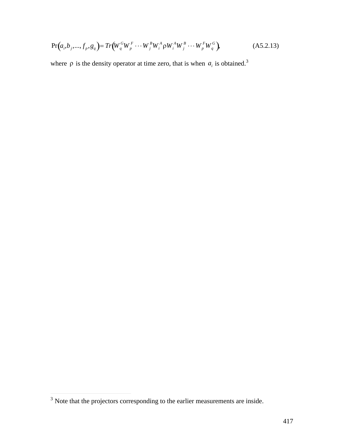$$
\Pr(a_i, b_j, ..., f_p, g_q) = Tr(W_q^G W_p^F \cdots W_j^B W_i^A \rho W_i^A W_j^B \cdots W_p^F W_q^G),
$$
\n(A5.2.13)

where  $\rho$  is the density operator at time zero, that is when  $a_i$  is obtained.<sup>3</sup>

 $\overline{a}$ 

 $3$  Note that the projectors corresponding to the earlier measurements are inside.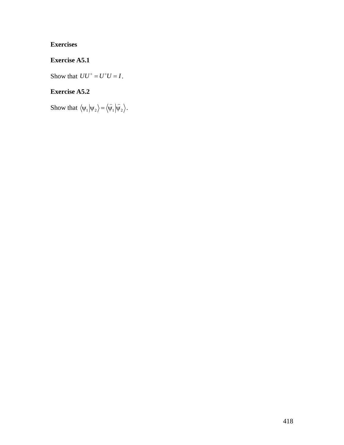## **Exercises**

## **Exercise A5.1**

Show that  $UU^+ = U^+U = I$ .

#### **Exercise A5.2**

 $\mathbf{r}$ Show that  $\langle \psi_1 | \psi_2 \rangle = \langle \hat{\psi_1} | \hat{\psi_2} \rangle$ .